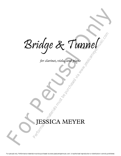$\textit{ridge} \& \textit{Turnne} \textit{frame}, \textit{viola}, \textit{and } \textit{piano}$ <br>
JESSICA MEYER Bridge & Tunnel Bridge & Tunnel

*for clarinet, viola, and piano*

## ESSICA MEYER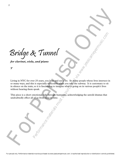Bridge & Tunnel

*for clarinet, viola, and piano*

**3'**

**Performance materials must be purchased via www.jessicame.org/2003**<br> **Performance materials must be purchased via www.jessicame.org/2003**<br>
Second is a sensetially noticeable when you take the subway. It is customary to s Bridge & Tunnel<br>for clarines, viola, and piano<br> $\eta$ <br>tiving in NYC for over 22 years, you had not so phis. So phape people where here increase is<br>a material on the train, no is a factorization in the principal of the solut Living in NYC for over 25 years, you hear and see a lot. So many people whose lives intersect in so many ways, and this is especially noticeable when you take the subway. It is customary to sit in silence on the train, so it is fascinating to imagine what is going on in various people's lives without hearing them speak.

This piece is a short emotional ride through humanity, acknowledging the untold dramas that undoubtedly effect all of us from time to time.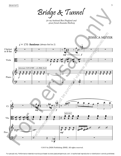Bridge & Tunnel

*for my husband Ben Fingland and great friend Amanda Harberg*



©2015 by JMM Publishing (BMI). All rights reserved.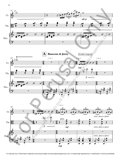

For perusal only. Performance materials must be purchased via www.jessicameyermusic.com. Unauthorized reproduction or distribution is strictly prohibited.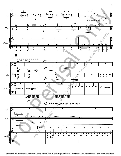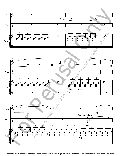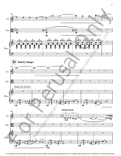

For perusal only. Performance materials must be purchased via www.jessicameyermusic.com. Unauthorized reproduction or distribution is strictly prohibited.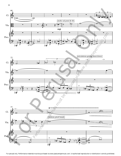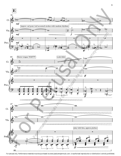

For perusal only. Performance materials must be purchased via www.jessicameyermusic.com. Unauthorized reproduction or distribution is strictly prohibited.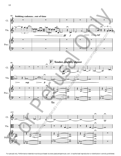

For perusal only. Performance materials must be purchased via www.jessicameyermusic.com. Unauthorized reproduction or distribution is strictly prohibited.